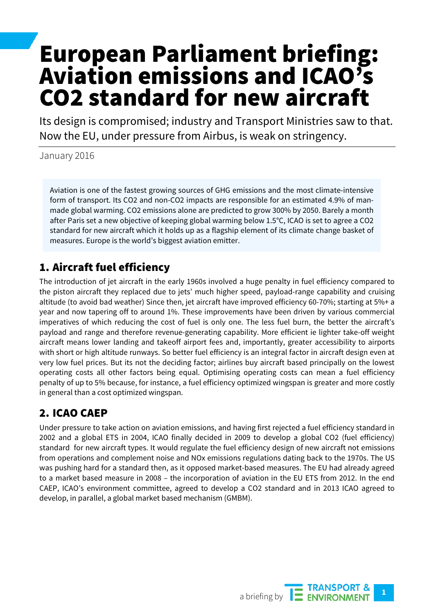# European Parliament briefing: Aviation emissions and ICAO's CO2 standard for new aircraft

Its design is compromised; industry and Transport Ministries saw to that. Now the EU, under pressure from Airbus, is weak on stringency.

January 2016

Aviation is one of the fastest growing sources of GHG emissions and the most climate-intensive form of transport. Its CO2 and non-CO2 impacts are responsible for an estimated 4.9% of manmade global warming. CO2 emissions alone are predicted to grow 300% by 2050. Barely a month after Paris set a new objective of keeping global warming below 1.5°C, ICAO is set to agree a CO2 standard for new aircraft which it holds up as a flagship element of its climate change basket of measures. Europe is the world's biggest aviation emitter.

# 1. Aircraft fuel efficiency

The introduction of jet aircraft in the early 1960s involved a huge penalty in fuel efficiency compared to the piston aircraft they replaced due to jets' much higher speed, payload-range capability and cruising altitude (to avoid bad weather) Since then, jet aircraft have improved efficiency 60-70%; starting at 5%+ a year and now tapering off to around 1%. These improvements have been driven by various commercial imperatives of which reducing the cost of fuel is only one. The less fuel burn, the better the aircraft's payload and range and therefore revenue-generating capability. More efficient ie lighter take-off weight aircraft means lower landing and takeoff airport fees and, importantly, greater accessibility to airports with short or high altitude runways. So better fuel efficiency is an integral factor in aircraft design even at very low fuel prices. But its not the deciding factor; airlines buy aircraft based principally on the lowest operating costs all other factors being equal. Optimising operating costs can mean a fuel efficiency penalty of up to 5% because, for instance, a fuel efficiency optimized wingspan is greater and more costly in general than a cost optimized wingspan.

# 2. ICAO CAEP

Under pressure to take action on aviation emissions, and having first rejected a fuel efficiency standard in 2002 and a global ETS in 2004, ICAO finally decided in 2009 to develop a global CO2 (fuel efficiency) standard for new aircraft types. It would regulate the fuel efficiency design of new aircraft not emissions from operations and complement noise and NOx emissions regulations dating back to the 1970s. The US was pushing hard for a standard then, as it opposed market-based measures. The EU had already agreed to a market based measure in 2008 – the incorporation of aviation in the EU ETS from 2012. In the end CAEP, ICAO's environment committee, agreed to develop a CO2 standard and in 2013 ICAO agreed to develop, in parallel, a global market based mechanism (GMBM).

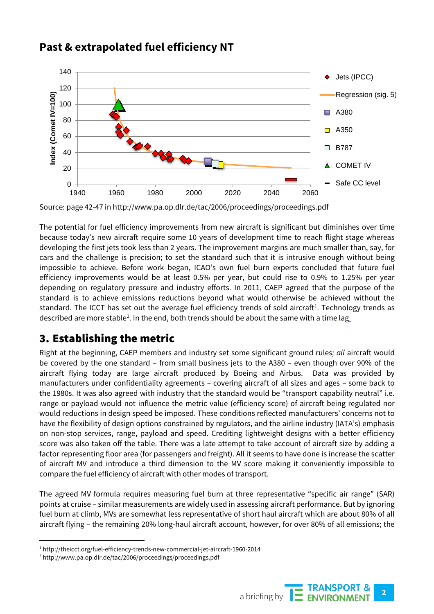

# **Past & extrapolated fuel efficiency NT**

Source: page 42-47 in http://www.pa.op.dlr.de/tac/2006/proceedings/proceedings.pdf

The potential for fuel efficiency improvements from new aircraft is significant but diminishes over time because today's new aircraft require some 10 years of development time to reach flight stage whereas developing the first jets took less than 2 years. The improvement margins are much smaller than, say, for cars and the challenge is precision; to set the standard such that it is intrusive enough without being impossible to achieve. Before work began, ICAO's own fuel burn experts concluded that future fuel efficiency improvements would be at least 0.5% per year, but could rise to 0.9% to 1.25% per year depending on regulatory pressure and industry efforts. In 2011, CAEP agreed that the purpose of the standard is to achieve emissions reductions beyond what would otherwise be achieved without the standard. The ICCT has set out the average fuel efficiency trends of sold aircraft<sup>[1](#page-1-0)</sup>. Technology trends as described are more stable<sup>[2](#page-1-1)</sup>. In the end, both trends should be about the same with a time lag<u>.</u>

# 3. Establishing the metric

Right at the beginning, CAEP members and industry set some significant ground rules*; all* aircraft would be covered by the one standard – from small business jets to the A380 – even though over 90% of the aircraft flying today are large aircraft produced by Boeing and Airbus. Data was provided by manufacturers under confidentiality agreements – covering aircraft of all sizes and ages – some back to the 1980s. It was also agreed with industry that the standard would be "transport capability neutral" i.e. range or payload would not influence the metric value (efficiency score) of aircraft being regulated nor would reductions in design speed be imposed. These conditions reflected manufacturers' concerns not to have the flexibility of design options constrained by regulators, and the airline industry (IATA's) emphasis on non-stop services, range, payload and speed. Crediting lightweight designs with a better efficiency score was also taken off the table. There was a late attempt to take account of aircraft size by adding a factor representing floor area (for passengers and freight). All it seems to have done is increase the scatter of aircraft MV and introduce a third dimension to the MV score making it conveniently impossible to compare the fuel efficiency of aircraft with other modes of transport.

The agreed MV formula requires measuring fuel burn at three representative "specific air range" (SAR) points at cruise – similar measurements are widely used in assessing aircraft performance. But by ignoring fuel burn at climb, MVs are somewhat less representative of short haul aircraft which are about 80% of all aircraft flying – the remaining 20% long-haul aircraft account, however, for over 80% of all emissions; the

<span id="page-1-1"></span><sup>2</sup> http://www.pa.op.dlr.de/tac/2006/proceedings/proceedings.pdf



<span id="page-1-0"></span> <sup>1</sup> http://theicct.org/fuel-efficiency-trends-new-commercial-jet-aircraft-1960-2014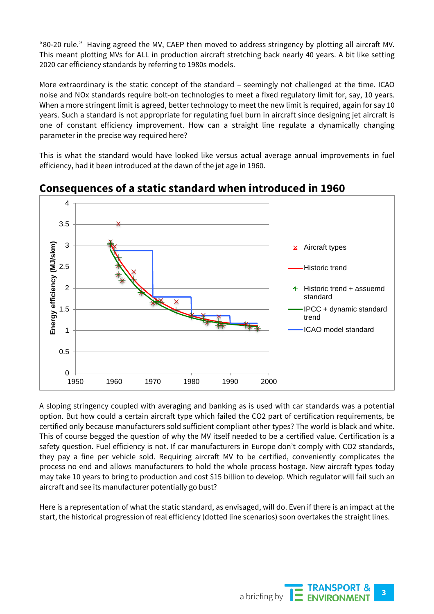"80-20 rule." Having agreed the MV, CAEP then moved to address stringency by plotting all aircraft MV. This meant plotting MVs for ALL in production aircraft stretching back nearly 40 years. A bit like setting 2020 car efficiency standards by referring to 1980s models.

More extraordinary is the static concept of the standard – seemingly not challenged at the time. ICAO noise and NOx standards require bolt-on technologies to meet a fixed regulatory limit for, say, 10 years. When a more stringent limit is agreed, better technology to meet the new limit is required, again for say 10 years. Such a standard is not appropriate for regulating fuel burn in aircraft since designing jet aircraft is one of constant efficiency improvement. How can a straight line regulate a dynamically changing parameter in the precise way required here?

This is what the standard would have looked like versus actual average annual improvements in fuel efficiency, had it been introduced at the dawn of the jet age in 1960.



#### **Consequences of a static standard when introduced in 1960**

A sloping stringency coupled with averaging and banking as is used with car standards was a potential option. But how could a certain aircraft type which failed the CO2 part of certification requirements, be certified only because manufacturers sold sufficient compliant other types? The world is black and white. This of course begged the question of why the MV itself needed to be a certified value. Certification is a safety question. Fuel efficiency is not. If car manufacturers in Europe don't comply with CO2 standards, they pay a fine per vehicle sold. Requiring aircraft MV to be certified, conveniently complicates the process no end and allows manufacturers to hold the whole process hostage. New aircraft types today may take 10 years to bring to production and cost \$15 billion to develop. Which regulator will fail such an aircraft and see its manufacturer potentially go bust?

Here is a representation of what the static standard, as envisaged, will do. Even if there is an impact at the start, the historical progression of real efficiency (dotted line scenarios) soon overtakes the straight lines.

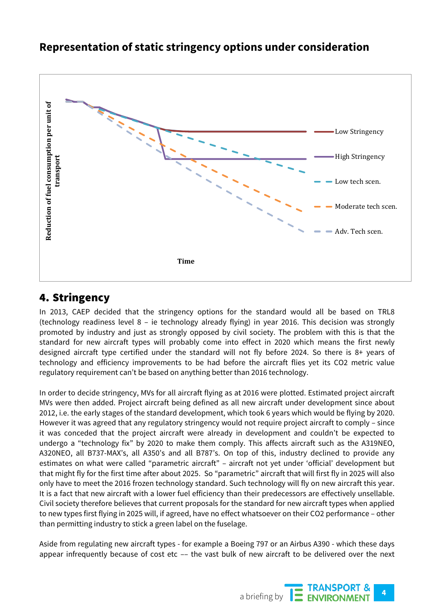#### **Representation of static stringency options under consideration**



#### 4. Stringency

In 2013, CAEP decided that the stringency options for the standard would all be based on TRL8 (technology readiness level 8 – ie technology already flying) in year 2016. This decision was strongly promoted by industry and just as strongly opposed by civil society. The problem with this is that the standard for new aircraft types will probably come into effect in 2020 which means the first newly designed aircraft type certified under the standard will not fly before 2024. So there is 8+ years of technology and efficiency improvements to be had before the aircraft flies yet its CO2 metric value regulatory requirement can't be based on anything better than 2016 technology.

In order to decide stringency, MVs for all aircraft flying as at 2016 were plotted. Estimated project aircraft MVs were then added. Project aircraft being defined as all new aircraft under development since about 2012, i.e. the early stages of the standard development, which took 6 years which would be flying by 2020. However it was agreed that any regulatory stringency would not require project aircraft to comply – since it was conceded that the project aircraft were already in development and couldn't be expected to undergo a "technology fix" by 2020 to make them comply. This affects aircraft such as the A319NEO, A320NEO, all B737-MAX's, all A350's and all B787's. On top of this, industry declined to provide any estimates on what were called "parametric aircraft" - aircraft not yet under 'official' development but that might fly for the first time after about 2025. So "parametric" aircraft that will first fly in 2025 will also only have to meet the 2016 frozen technology standard. Such technology will fly on new aircraft this year. It is a fact that new aircraft with a lower fuel efficiency than their predecessors are effectively unsellable. Civil society therefore believes that current proposals for the standard for new aircraft types when applied to new types first flying in 2025 will, if agreed, have no effect whatsoever on their CO2 performance – other than permitting industry to stick a green label on the fuselage.

Aside from regulating new aircraft types - for example a Boeing 797 or an Airbus A390 - which these days

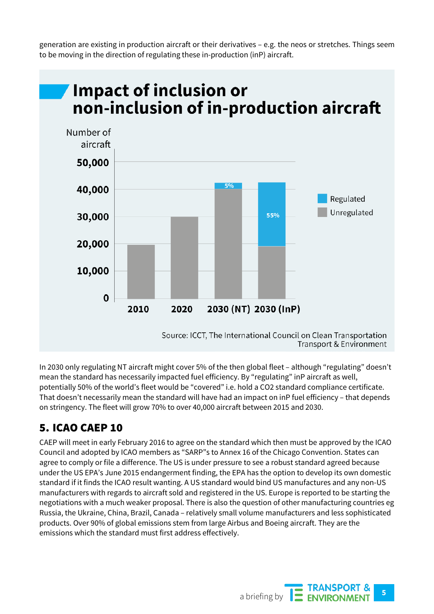generation are existing in production aircraft or their derivatives – e.g. the neos or stretches. Things seem to be moving in the direction of regulating these in-production (inP) aircraft.



In 2030 only regulating NT aircraft might cover 5% of the then global fleet – although "regulating" doesn't mean the standard has necessarily impacted fuel efficiency. By "regulating" inP aircraft as well, potentially 50% of the world's fleet would be "covered" i.e. hold a CO2 standard compliance certificate. That doesn't necessarily mean the standard will have had an impact on inP fuel efficiency – that depends on stringency. The fleet will grow 70% to over 40,000 aircraft between 2015 and 2030.

# 5. ICAO CAEP 10

CAEP will meet in early February 2016 to agree on the standard which then must be approved by the ICAO Council and adopted by ICAO members as "SARP"s to Annex 16 of the Chicago Convention. States can agree to comply or file a difference. The US is under pressure to see a robust standard agreed because under the US EPA's June 2015 endangerment finding, the EPA has the option to develop its own domestic standard if it finds the ICAO result wanting. A US standard would bind US manufactures and any non-US manufacturers with regards to aircraft sold and registered in the US. Europe is reported to be starting the negotiations with a much weaker proposal. There is also the question of other manufacturing countries eg Russia, the Ukraine, China, Brazil, Canada – relatively small volume manufacturers and less sophisticated products. Over 90% of global emissions stem from large Airbus and Boeing aircraft. They are the emissions which the standard must first address effectively.